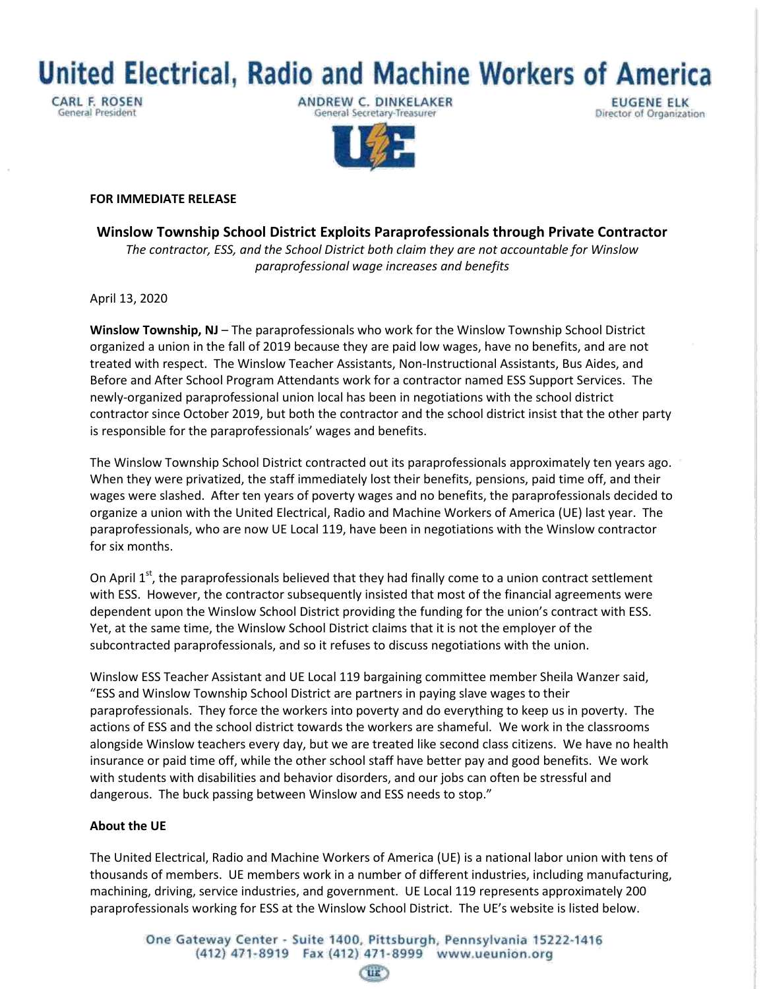**United Electrical, Radio and Machine Workers of America** 

**CARL F. ROSEN General President** 

ANDREW C. DINKELAKER General Secretary-Treasurer

**EUGENE ELK** Director of Organization



## **FOR IMMEDIATE RELEASE**

**Winslow Township School District Exploits Paraprofessionals through Private Contractor** *The contractor, ESS, and the School District both claim they are not accountable for Winslow paraprofessional wage increases and benefits*

April 13, 2020

**Winslow Township, NJ** – The paraprofessionals who work for the Winslow Township School District organized a union in the fall of 2019 because they are paid low wages, have no benefits, and are not treated with respect. The Winslow Teacher Assistants, Non-Instructional Assistants, Bus Aides, and Before and After School Program Attendants work for a contractor named ESS Support Services. The newly-organized paraprofessional union local has been in negotiations with the school district contractor since October 2019, but both the contractor and the school district insist that the other party is responsible for the paraprofessionals' wages and benefits.

The Winslow Township School District contracted out its paraprofessionals approximately ten years ago. When they were privatized, the staff immediately lost their benefits, pensions, paid time off, and their wages were slashed. After ten years of poverty wages and no benefits, the paraprofessionals decided to organize a union with the United Electrical, Radio and Machine Workers of America (UE) last year. The paraprofessionals, who are now UE Local 119, have been in negotiations with the Winslow contractor for six months.

On April  $1<sup>st</sup>$ , the paraprofessionals believed that they had finally come to a union contract settlement with ESS. However, the contractor subsequently insisted that most of the financial agreements were dependent upon the Winslow School District providing the funding for the union's contract with ESS. Yet, at the same time, the Winslow School District claims that it is not the employer of the subcontracted paraprofessionals, and so it refuses to discuss negotiations with the union.

Winslow ESS Teacher Assistant and UE Local 119 bargaining committee member Sheila Wanzer said, "ESS and Winslow Township School District are partners in paying slave wages to their paraprofessionals. They force the workers into poverty and do everything to keep us in poverty. The actions of ESS and the school district towards the workers are shameful. We work in the classrooms alongside Winslow teachers every day, but we are treated like second class citizens. We have no health insurance or paid time off, while the other school staff have better pay and good benefits. We work with students with disabilities and behavior disorders, and our jobs can often be stressful and dangerous. The buck passing between Winslow and ESS needs to stop."

## **About the UE**

The United Electrical, Radio and Machine Workers of America (UE) is a national labor union with tens of thousands of members. UE members work in a number of different industries, including manufacturing, machining, driving, service industries, and government. UE Local 119 represents approximately 200 paraprofessionals working for ESS at the Winslow School District. The UE's website is listed below.

**CIE**